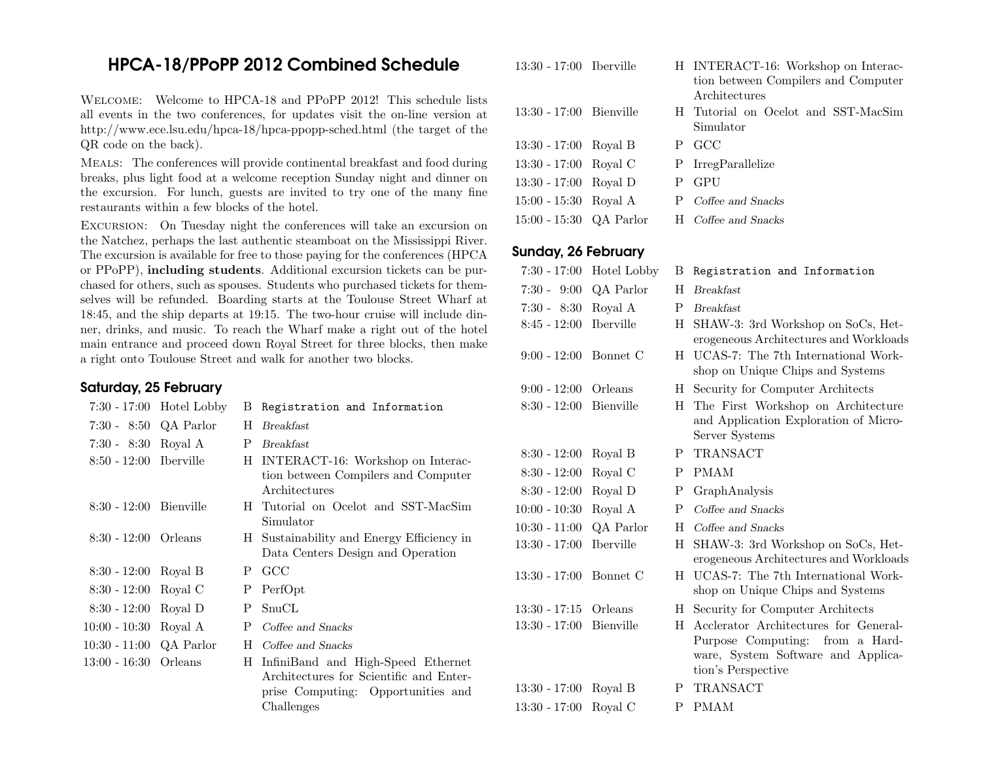# HPCA-18/PPoPP <sup>2012</sup> Combined Schedule

Welcome: Welcome to HPCA-18 and PPoPP 2012! This schedule lists all events in the two conferences, for updates visit the on-line version at http://www.ece.lsu.edu/hpca-18/hpca-ppopp-sched.html (the target of theQR code on the back).

Meals: The conferences will provide continental breakfast and food during breaks, <sup>p</sup>lus light food at <sup>a</sup> welcome reception Sunday night and dinner on the excursion. For lunch, guests are invited to try one of the many fine restaurants within <sup>a</sup> few blocks of the hotel.

Excursion: On Tuesday night the conferences will take an excursion on the Natchez, perhaps the last authentic steamboat on the Mississippi River. The excursion is available for free to those paying for the conferences (HPCA or PPoPP), including students. Additional excursion tickets can be purchased for others, such as spouses. Students who purchased tickets for themselves will be refunded. Boarding starts at the Toulouse Street Wharf at 18:45, and the ship departs at 19:15. The two-hour cruise will include dinner, drinks, and music. To reach the Wharf make <sup>a</sup> right out of the hotel main entrance and proceed down Royal Street for three blocks, then make<sup>a</sup> right onto Toulouse Street and walk for another two blocks.

## Saturday, <sup>25</sup> February

|                         | $7:30 - 17:00$ Hotel Lobby |    | B Registration and Information            | $8:30 - 12:00$  |
|-------------------------|----------------------------|----|-------------------------------------------|-----------------|
| 7:30 - 8:50 QA Parlor   |                            | H  | <b>Breakfast</b>                          |                 |
| 7:30 - 8:30 Royal A     |                            | Ρ  | <b>Breakfast</b>                          |                 |
| 8:50 - 12:00 Iberville  |                            |    | H INTERACT-16: Workshop on Interac-       | $8:30 - 12:00$  |
|                         |                            |    | tion between Compilers and Computer       | $8:30 - 12:00$  |
|                         |                            |    | Architectures                             | $8:30 - 12:00$  |
| $8:30 - 12:00$          | Bienville                  | H. | Tutorial on Ocelot and SST-MacSim         | $10:00 - 10:30$ |
|                         |                            |    | Simulator                                 | $10:30 - 11:00$ |
| $8:30 - 12:00$ Orleans  |                            |    | H Sustainability and Energy Efficiency in | $13:30 - 17:00$ |
|                         |                            |    | Data Centers Design and Operation         |                 |
| $8:30 - 12:00$ Royal B  |                            | Ρ  | GCC                                       | $13:30 - 17:00$ |
| $8:30 - 12:00$ Royal C  |                            | Ρ  | PerfOpt                                   |                 |
| $8:30 - 12:00$ Royal D  |                            | Ρ  | SnuCL                                     | $13:30 - 17:15$ |
| 10:00 - 10:30           | Royal A                    | P  | Coffee and Snacks                         | $13:30 - 17:00$ |
| 10:30 - 11:00 QA Parlor |                            | H  | Coffee and Snacks                         |                 |
| 13:00 - 16:30 Orleans   |                            | H  | InfiniBand and High-Speed Ethernet        |                 |
|                         |                            |    | Architectures for Scientific and Enter-   |                 |
|                         |                            |    | prise Computing: Opportunities and        | 13:30 - 17:00   |
|                         |                            |    | Challenges                                | $13:30 - 17:00$ |

13:30 - 17:00 Iberville <sup>H</sup> INTERACT-16: Workshop on Interac-

| 13:30 - 17:00 Bienville |  | H Tutorial on Ocelot and SST-MacSim<br>Simulator |
|-------------------------|--|--------------------------------------------------|
| 13:30 - 17:00 Royal B   |  | P GCC                                            |
| 13:30 - 17:00 Royal C   |  | P IrregParallelize                               |
| 13:30 - 17:00 Royal D   |  | P GPU                                            |
| 15:00 - 15:30 Royal A   |  | P Coffee and Snacks                              |
| 15:00 - 15:30 QA Parlor |  | H Coffee and Snacks                              |

## Sunday, <sup>26</sup> February

| $7:30 - 17:00$          | Hotel Lobby      | В  | Registration and Information                                                                                                            |
|-------------------------|------------------|----|-----------------------------------------------------------------------------------------------------------------------------------------|
| $7:30 - 9:00$           | QA Parlor        | H  | <b>Breakfast</b>                                                                                                                        |
| $7:30 - 8:30$           | Royal A          | P  | <b>Breakfast</b>                                                                                                                        |
| $8:45 - 12:00$          | <b>Iberville</b> | H  | SHAW-3: 3rd Workshop on SoCs, Het-<br>erogeneous Architectures and Workloads                                                            |
| $9:00 - 12:00$          | Bonnet C         | H  | UCAS-7: The 7th International Work-<br>shop on Unique Chips and Systems                                                                 |
| $9:00 - 12:00$          | Orleans          | H. | Security for Computer Architects                                                                                                        |
| $8:30 - 12:00$          | Bienville        | Н  | The First Workshop on Architecture<br>and Application Exploration of Micro-<br>Server Systems                                           |
| $8:30 - 12:00$          | Royal B          | Ρ  | TRANSACT                                                                                                                                |
| $8:30 - 12:00$          | Royal C          | P  | <b>PMAM</b>                                                                                                                             |
| $8:30 - 12:00$          | Royal D          | Ρ  | GraphAnalysis                                                                                                                           |
| $10:00 - 10:30$         | Royal A          | P  | Coffee and Snacks                                                                                                                       |
| $10:30 - 11:00$         | QA Parlor        | H  | Coffee and Snacks                                                                                                                       |
| $13:30 - 17:00$         | <b>Iberville</b> | H  | SHAW-3: 3rd Workshop on SoCs, Het-<br>erogeneous Architectures and Workloads                                                            |
| $13:30 - 17:00$         | Bonnet C         | H  | UCAS-7: The 7th International Work-<br>shop on Unique Chips and Systems                                                                 |
| $13:30 - 17:15$         | Orleans          | Н  | Security for Computer Architects                                                                                                        |
| $13:30 - 17:00$         | <b>Bienville</b> | H  | Acclerator Architectures for General-<br>Purpose Computing:<br>from a Hard-<br>ware, System Software and Applica-<br>tion's Perspective |
| $13:30 - 17:00$ Royal B |                  | P  | <b>TRANSACT</b>                                                                                                                         |
| $13:30 - 17:00$         | Royal C          | P  | <b>PMAM</b>                                                                                                                             |

tion between Compilers and Computer

Architectures